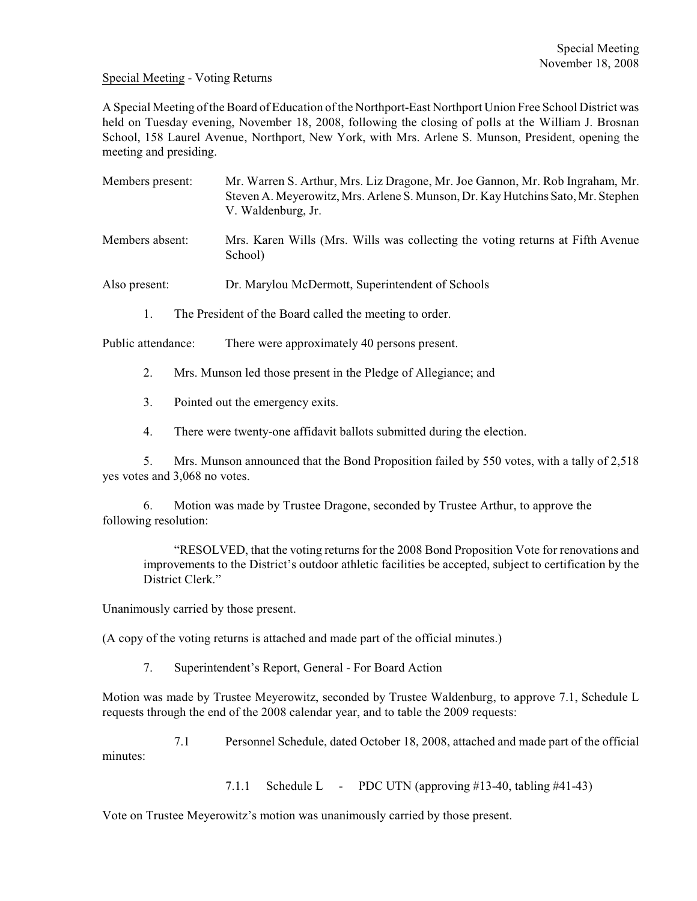## Special Meeting - Voting Returns

A Special Meeting of the Board of Education of the Northport-East Northport Union Free School District was held on Tuesday evening, November 18, 2008, following the closing of polls at the William J. Brosnan School, 158 Laurel Avenue, Northport, New York, with Mrs. Arlene S. Munson, President, opening the meeting and presiding.

- Members present: Mr. Warren S. Arthur, Mrs. Liz Dragone, Mr. Joe Gannon, Mr. Rob Ingraham, Mr. Steven A. Meyerowitz, Mrs. Arlene S. Munson, Dr. Kay Hutchins Sato, Mr. Stephen V. Waldenburg, Jr.
- Members absent: Mrs. Karen Wills (Mrs. Wills was collecting the voting returns at Fifth Avenue School)
- Also present: Dr. Marylou McDermott, Superintendent of Schools
	- 1. The President of the Board called the meeting to order.

Public attendance: There were approximately 40 persons present.

- 2. Mrs. Munson led those present in the Pledge of Allegiance; and
- 3. Pointed out the emergency exits.
- 4. There were twenty-one affidavit ballots submitted during the election.

5. Mrs. Munson announced that the Bond Proposition failed by 550 votes, with a tally of 2,518 yes votes and 3,068 no votes.

6. Motion was made by Trustee Dragone, seconded by Trustee Arthur, to approve the following resolution:

"RESOLVED, that the voting returns for the 2008 Bond Proposition Vote for renovations and improvements to the District's outdoor athletic facilities be accepted, subject to certification by the District Clerk."

Unanimously carried by those present.

(A copy of the voting returns is attached and made part of the official minutes.)

7. Superintendent's Report, General - For Board Action

Motion was made by Trustee Meyerowitz, seconded by Trustee Waldenburg, to approve 7.1, Schedule L requests through the end of the 2008 calendar year, and to table the 2009 requests:

7.1 Personnel Schedule, dated October 18, 2008, attached and made part of the official minutes:

7.1.1 Schedule L - PDC UTN (approving #13-40, tabling #41-43)

Vote on Trustee Meyerowitz's motion was unanimously carried by those present.